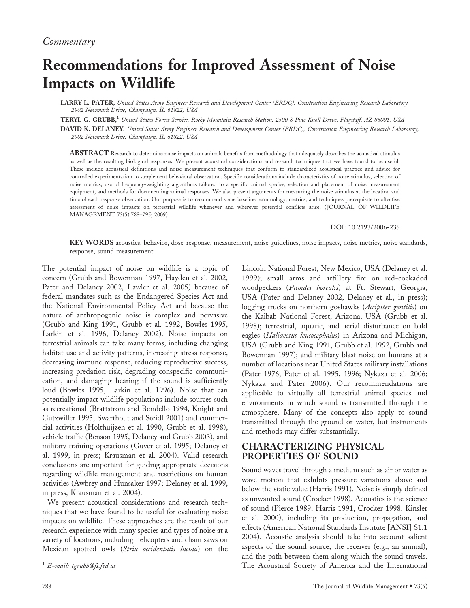# Recommendations for Improved Assessment of Noise Impacts on Wildlife

LARRY L. PATER, United States Army Engineer Research and Development Center (ERDC), Construction Engineering Research Laboratory, 2902 Newmark Drive, Champaign, IL 61822, USA

TERYL G. GRUBB,<sup>1</sup> United States Forest Service, Rocky Mountain Research Station, 2500 S Pine Knoll Drive, Flagstaff, AZ 86001, USA

DAVID K. DELANEY, United States Army Engineer Research and Development Center (ERDC), Construction Engineering Research Laboratory, 2902 Newmark Drive, Champaign, IL 61822, USA

ABSTRACT Research to determine noise impacts on animals benefits from methodology that adequately describes the acoustical stimulus as well as the resulting biological responses. We present acoustical considerations and research techniques that we have found to be useful. These include acoustical definitions and noise measurement techniques that conform to standardized acoustical practice and advice for controlled experimentation to supplement behavioral observation. Specific considerations include characteristics of noise stimulus, selection of noise metrics, use of frequency-weighting algorithms tailored to a specific animal species, selection and placement of noise measurement equipment, and methods for documenting animal responses. We also present arguments for measuring the noise stimulus at the location and time of each response observation. Our purpose is to recommend some baseline terminology, metrics, and techniques prerequisite to effective assessment of noise impacts on terrestrial wildlife whenever and wherever potential conflicts arise. (JOURNAL OF WILDLIFE MANAGEMENT 73(5):788–795; 2009)

#### DOI: 10.2193/2006-235

KEY WORDS acoustics, behavior, dose-response, measurement, noise guidelines, noise impacts, noise metrics, noise standards, response, sound measurement.

The potential impact of noise on wildlife is a topic of concern (Grubb and Bowerman 1997, Hayden et al. 2002, Pater and Delaney 2002, Lawler et al. 2005) because of federal mandates such as the Endangered Species Act and the National Environmental Policy Act and because the nature of anthropogenic noise is complex and pervasive (Grubb and King 1991, Grubb et al. 1992, Bowles 1995, Larkin et al. 1996, Delaney 2002). Noise impacts on terrestrial animals can take many forms, including changing habitat use and activity patterns, increasing stress response, decreasing immune response, reducing reproductive success, increasing predation risk, degrading conspecific communication, and damaging hearing if the sound is sufficiently loud (Bowles 1995, Larkin et al. 1996). Noise that can potentially impact wildlife populations include sources such as recreational (Brattstrom and Bondello 1994, Knight and Gutzwiller 1995, Swarthout and Steidl 2001) and commercial activities (Holthuijzen et al. 1990, Grubb et al. 1998), vehicle traffic (Benson 1995, Delaney and Grubb 2003), and military training operations (Guyer et al. 1995; Delaney et al. 1999, in press; Krausman et al. 2004). Valid research conclusions are important for guiding appropriate decisions regarding wildlife management and restrictions on human activities (Awbrey and Hunsaker 1997; Delaney et al. 1999, in press; Krausman et al. 2004).

We present acoustical considerations and research techniques that we have found to be useful for evaluating noise impacts on wildlife. These approaches are the result of our research experience with many species and types of noise at a variety of locations, including helicopters and chain saws on Mexican spotted owls (Strix occidentalis lucida) on the

Lincoln National Forest, New Mexico, USA (Delaney et al. 1999); small arms and artillery fire on red-cockaded woodpeckers (Picoides borealis) at Ft. Stewart, Georgia, USA (Pater and Delaney 2002, Delaney et al., in press); logging trucks on northern goshawks (Accipiter gentilis) on the Kaibab National Forest, Arizona, USA (Grubb et al. 1998); terrestrial, aquatic, and aerial disturbance on bald eagles (Haliaeetus leucocephalus) in Arizona and Michigan, USA (Grubb and King 1991, Grubb et al. 1992, Grubb and Bowerman 1997); and military blast noise on humans at a number of locations near United States military installations (Pater 1976; Pater et al. 1995, 1996; Nykaza et al. 2006; Nykaza and Pater 2006). Our recommendations are applicable to virtually all terrestrial animal species and environments in which sound is transmitted through the atmosphere. Many of the concepts also apply to sound transmitted through the ground or water, but instruments and methods may differ substantially.

# CHARACTERIZING PHYSICAL PROPERTIES OF SOUND

Sound waves travel through a medium such as air or water as wave motion that exhibits pressure variations above and below the static value (Harris 1991). Noise is simply defined as unwanted sound (Crocker 1998). Acoustics is the science of sound (Pierce 1989, Harris 1991, Crocker 1998, Kinsler et al. 2000), including its production, propagation, and effects (American National Standards Institute [ANSI] S1.1 2004). Acoustic analysis should take into account salient aspects of the sound source, the receiver (e.g., an animal), and the path between them along which the sound travels.  $1$  E-mail: tgrubb@fs.fed.us  $\blacksquare$  The Acoustical Society of America and the International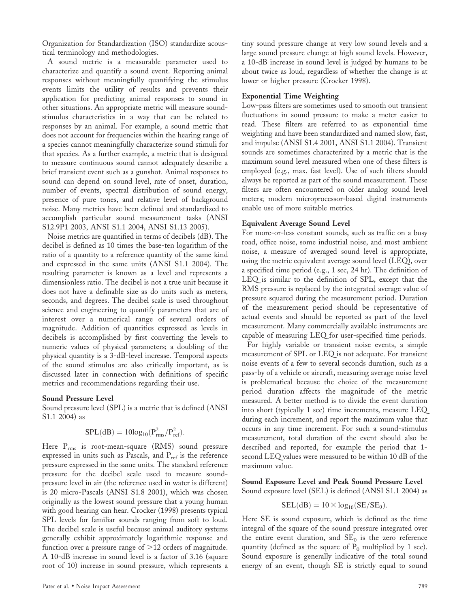Organization for Standardization (ISO) standardize acoustical terminology and methodologies.

A sound metric is a measurable parameter used to characterize and quantify a sound event. Reporting animal responses without meaningfully quantifying the stimulus events limits the utility of results and prevents their application for predicting animal responses to sound in other situations. An appropriate metric will measure soundstimulus characteristics in a way that can be related to responses by an animal. For example, a sound metric that does not account for frequencies within the hearing range of a species cannot meaningfully characterize sound stimuli for that species. As a further example, a metric that is designed to measure continuous sound cannot adequately describe a brief transient event such as a gunshot. Animal responses to sound can depend on sound level, rate of onset, duration, number of events, spectral distribution of sound energy, presence of pure tones, and relative level of background noise. Many metrics have been defined and standardized to accomplish particular sound measurement tasks (ANSI S12.9P1 2003, ANSI S1.1 2004, ANSI S1.13 2005).

Noise metrics are quantified in terms of decibels (dB). The decibel is defined as 10 times the base-ten logarithm of the ratio of a quantity to a reference quantity of the same kind and expressed in the same units (ANSI S1.1 2004). The resulting parameter is known as a level and represents a dimensionless ratio. The decibel is not a true unit because it does not have a definable size as do units such as meters, seconds, and degrees. The decibel scale is used throughout science and engineering to quantify parameters that are of interest over a numerical range of several orders of magnitude. Addition of quantities expressed as levels in decibels is accomplished by first converting the levels to numeric values of physical parameters; a doubling of the physical quantity is a 3-dB-level increase. Temporal aspects of the sound stimulus are also critically important, as is discussed later in connection with definitions of specific metrics and recommendations regarding their use.

## Sound Pressure Level

Sound pressure level (SPL) is a metric that is defined (ANSI S1.1 2004) as

$$
SPL(dB)=10log_{10}(P_{rms}^2/P_{ref}^2).
$$

Here  $P_{rms}$  is root-mean-square (RMS) sound pressure expressed in units such as Pascals, and  $P_{ref}$  is the reference pressure expressed in the same units. The standard reference pressure for the decibel scale used to measure soundpressure level in air (the reference used in water is different) is 20 micro-Pascals (ANSI S1.8 2001), which was chosen originally as the lowest sound pressure that a young human with good hearing can hear. Crocker (1998) presents typical SPL levels for familiar sounds ranging from soft to loud. The decibel scale is useful because animal auditory systems generally exhibit approximately logarithmic response and function over a pressure range of  $>12$  orders of magnitude. A 10-dB increase in sound level is a factor of 3.16 (square root of 10) increase in sound pressure, which represents a tiny sound pressure change at very low sound levels and a large sound pressure change at high sound levels. However, a 10-dB increase in sound level is judged by humans to be about twice as loud, regardless of whether the change is at lower or higher pressure (Crocker 1998).

## Exponential Time Weighting

Low-pass filters are sometimes used to smooth out transient fluctuations in sound pressure to make a meter easier to read. These filters are referred to as exponential time weighting and have been standardized and named slow, fast, and impulse (ANSI S1.4 2001, ANSI S1.1 2004). Transient sounds are sometimes characterized by a metric that is the maximum sound level measured when one of these filters is employed (e.g., max. fast level). Use of such filters should always be reported as part of the sound measurement. These filters are often encountered on older analog sound level meters; modern microprocessor-based digital instruments enable use of more suitable metrics.

## Equivalent Average Sound Level

For more-or-less constant sounds, such as traffic on a busy road, office noise, some industrial noise, and most ambient noise, a measure of averaged sound level is appropriate, using the metric equivalent average sound level (LEQ), over a specified time period (e.g., 1 sec, 24 hr). The definition of LEQ is similar to the definition of SPL, except that the RMS pressure is replaced by the integrated average value of pressure squared during the measurement period. Duration of the measurement period should be representative of actual events and should be reported as part of the level measurement. Many commercially available instruments are capable of measuring LEQ for user-specified time periods.

For highly variable or transient noise events, a simple measurement of SPL or LEQ is not adequate. For transient noise events of a few to several seconds duration, such as a pass-by of a vehicle or aircraft, measuring average noise level is problematical because the choice of the measurement period duration affects the magnitude of the metric measured. A better method is to divide the event duration into short (typically 1 sec) time increments, measure LEQ during each increment, and report the maximum value that occurs in any time increment. For such a sound-stimulus measurement, total duration of the event should also be described and reported, for example the period that 1 second LEQ values were measured to be within 10 dB of the maximum value.

Sound Exposure Level and Peak Sound Pressure Level Sound exposure level (SEL) is defined (ANSI S1.1 2004) as

$$
SEL(dB) = 10 \times log_{10}(SE/SE_0).
$$

Here SE is sound exposure, which is defined as the time integral of the square of the sound pressure integrated over the entire event duration, and  $SE_0$  is the zero reference quantity (defined as the square of  $P_0$  multiplied by 1 sec). Sound exposure is generally indicative of the total sound energy of an event, though SE is strictly equal to sound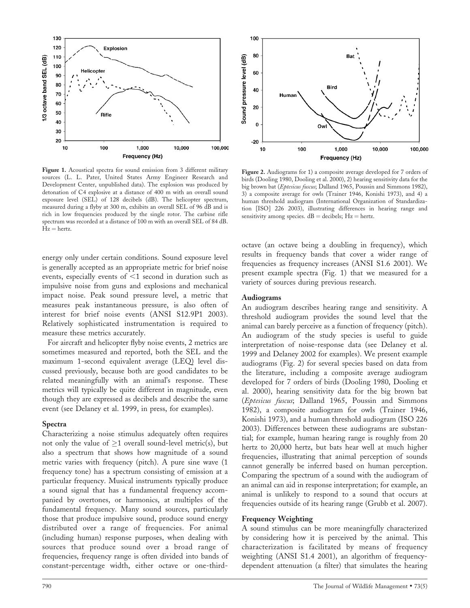

Figure 1. Acoustical spectra for sound emission from 3 different military sources (L. L. Pater, United States Army Engineer Research and Development Center, unpublished data). The explosion was produced by detonation of C4 explosive at a distance of 400 m with an overall sound exposure level (SEL) of 128 decibels (dB). The helicopter spectrum, measured during a flyby at 300 m, exhibits an overall SEL of 96 dB and is rich in low frequencies produced by the single rotor. The carbine rifle spectrum was recorded at a distance of 100 m with an overall SEL of 84 dB.  $Hz = hertz$ .

energy only under certain conditions. Sound exposure level is generally accepted as an appropriate metric for brief noise events, especially events of  $\leq 1$  second in duration such as impulsive noise from guns and explosions and mechanical impact noise. Peak sound pressure level, a metric that measures peak instantaneous pressure, is also often of interest for brief noise events (ANSI S12.9P1 2003). Relatively sophisticated instrumentation is required to measure these metrics accurately.

For aircraft and helicopter flyby noise events, 2 metrics are sometimes measured and reported, both the SEL and the maximum 1-second equivalent average (LEQ) level discussed previously, because both are good candidates to be related meaningfully with an animal's response. These metrics will typically be quite different in magnitude, even though they are expressed as decibels and describe the same event (see Delaney et al. 1999, in press, for examples).

## Spectra

Characterizing a noise stimulus adequately often requires not only the value of  $\geq 1$  overall sound-level metric(s), but also a spectrum that shows how magnitude of a sound metric varies with frequency (pitch). A pure sine wave (1 frequency tone) has a spectrum consisting of emission at a particular frequency. Musical instruments typically produce a sound signal that has a fundamental frequency accompanied by overtones, or harmonics, at multiples of the fundamental frequency. Many sound sources, particularly those that produce impulsive sound, produce sound energy distributed over a range of frequencies. For animal (including human) response purposes, when dealing with sources that produce sound over a broad range of frequencies, frequency range is often divided into bands of constant-percentage width, either octave or one-third-



Figure 2. Audiograms for 1) a composite average developed for 7 orders of birds (Dooling 1980, Dooling et al. 2000), 2) hearing sensitivity data for the big brown bat (Eptesicus fuscus; Dalland 1965, Poussin and Simmons 1982), 3) a composite average for owls (Trainer 1946, Konishi 1973), and 4) a human threshold audiogram (International Organization of Standardization [ISO] 226 2003), illustrating differences in hearing range and sensitivity among species.  $dB =$  decibels;  $Hz =$  hertz.

octave (an octave being a doubling in frequency), which results in frequency bands that cover a wider range of frequencies as frequency increases (ANSI S1.6 2001). We present example spectra (Fig. 1) that we measured for a variety of sources during previous research.

#### Audiograms

An audiogram describes hearing range and sensitivity. A threshold audiogram provides the sound level that the animal can barely perceive as a function of frequency (pitch). An audiogram of the study species is useful to guide interpretation of noise-response data (see Delaney et al. 1999 and Delaney 2002 for examples). We present example audiograms (Fig. 2) for several species based on data from the literature, including a composite average audiogram developed for 7 orders of birds (Dooling 1980, Dooling et al. 2000), hearing sensitivity data for the big brown bat (Eptesicus fuscus; Dalland 1965, Poussin and Simmons 1982), a composite audiogram for owls (Trainer 1946, Konishi 1973), and a human threshold audiogram (ISO 226 2003). Differences between these audiograms are substantial; for example, human hearing range is roughly from 20 hertz to 20,000 hertz, but bats hear well at much higher frequencies, illustrating that animal perception of sounds cannot generally be inferred based on human perception. Comparing the spectrum of a sound with the audiogram of an animal can aid in response interpretation; for example, an animal is unlikely to respond to a sound that occurs at frequencies outside of its hearing range (Grubb et al. 2007).

#### Frequency Weighting

A sound stimulus can be more meaningfully characterized by considering how it is perceived by the animal. This characterization is facilitated by means of frequency weighting (ANSI S1.4 2001), an algorithm of frequencydependent attenuation (a filter) that simulates the hearing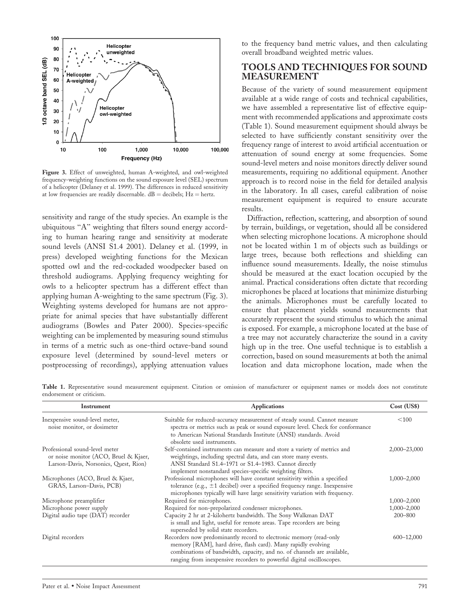

Figure 3. Effect of unweighted, human A-weighted, and owl-weighted frequency-weighting functions on the sound exposure level (SEL) spectrum of a helicopter (Delaney et al. 1999). The differences in reduced sensitivity at low frequencies are readily discernable.  $dB =$  decibels;  $Hz =$  hertz.

sensitivity and range of the study species. An example is the ubiquitous "A" weighting that filters sound energy according to human hearing range and sensitivity at moderate sound levels (ANSI S1.4 2001). Delaney et al. (1999, in press) developed weighting functions for the Mexican spotted owl and the red-cockaded woodpecker based on threshold audiograms. Applying frequency weighting for owls to a helicopter spectrum has a different effect than applying human A-weighting to the same spectrum (Fig. 3). Weighting systems developed for humans are not appropriate for animal species that have substantially different audiograms (Bowles and Pater 2000). Species-specific weighting can be implemented by measuring sound stimulus in terms of a metric such as one-third octave-band sound exposure level (determined by sound-level meters or postprocessing of recordings), applying attenuation values

to the frequency band metric values, and then calculating overall broadband weighted metric values.

# TOOLS AND TECHNIQUES FOR SOUND MEASUREMENT

Because of the variety of sound measurement equipment available at a wide range of costs and technical capabilities, we have assembled a representative list of effective equipment with recommended applications and approximate costs (Table 1). Sound measurement equipment should always be selected to have sufficiently constant sensitivity over the frequency range of interest to avoid artificial accentuation or attenuation of sound energy at some frequencies. Some sound-level meters and noise monitors directly deliver sound measurements, requiring no additional equipment. Another approach is to record noise in the field for detailed analysis in the laboratory. In all cases, careful calibration of noise measurement equipment is required to ensure accurate results.

Diffraction, reflection, scattering, and absorption of sound by terrain, buildings, or vegetation, should all be considered when selecting microphone locations. A microphone should not be located within 1 m of objects such as buildings or large trees, because both reflections and shielding can influence sound measurements. Ideally, the noise stimulus should be measured at the exact location occupied by the animal. Practical considerations often dictate that recording microphones be placed at locations that minimize disturbing the animals. Microphones must be carefully located to ensure that placement yields sound measurements that accurately represent the sound stimulus to which the animal is exposed. For example, a microphone located at the base of a tree may not accurately characterize the sound in a cavity high up in the tree. One useful technique is to establish a correction, based on sound measurements at both the animal location and data microphone location, made when the

Table 1. Representative sound measurement equipment. Citation or omission of manufacturer or equipment names or models does not constitute endorsement or criticism.

| Instrument                                                                                                       | <b>Applications</b>                                                                                                                                                                                                                                                                    | Cost (US\$)     |
|------------------------------------------------------------------------------------------------------------------|----------------------------------------------------------------------------------------------------------------------------------------------------------------------------------------------------------------------------------------------------------------------------------------|-----------------|
| Inexpensive sound-level meter,<br>noise monitor, or dosimeter                                                    | Suitable for reduced-accuracy measurement of steady sound. Cannot measure<br>spectra or metrics such as peak or sound exposure level. Check for conformance<br>to American National Standards Institute (ANSI) standards. Avoid<br>obsolete used instruments.                          | $<$ 100         |
| Professional sound-level meter<br>or noise monitor (ACO, Bruel & Kjaer,<br>Larson-Davis, Norsonics, Quest, Rion) | Self-contained instruments can measure and store a variety of metrics and<br>weightings, including spectral data, and can store many events.<br>ANSI Standard S1.4-1971 or S1.4-1983. Cannot directly<br>implement nonstandard species-specific weighting filters.                     | 2,000-23,000    |
| Microphones (ACO, Bruel & Kjaer,<br>GRAS, Larson-Davis, PCB)                                                     | Professional microphones will have constant sensitivity within a specified<br>tolerance (e.g., $\pm 1$ decibel) over a specified frequency range. Inexpensive<br>microphones typically will have large sensitivity variation with frequency.                                           | $1,000 - 2,000$ |
| Microphone preamplifier                                                                                          | Required for microphones.                                                                                                                                                                                                                                                              | $1,000 - 2,000$ |
| Microphone power supply                                                                                          | Required for non-prepolarized condenser microphones.                                                                                                                                                                                                                                   | $1,000 - 2,000$ |
| Digital audio tape (DAT) recorder                                                                                | Capacity 2 hr at 2-kilohertz bandwidth. The Sony Walkman DAT<br>is small and light, useful for remote areas. Tape recorders are being<br>superseded by solid state recorders.                                                                                                          | $200 - 800$     |
| Digital recorders                                                                                                | Recorders now predominantly record to electronic memory (read-only<br>memory [RAM], hard drive, flash card). Many rapidly evolving<br>combinations of bandwidth, capacity, and no. of channels are available,<br>ranging from inexpensive recorders to powerful digital oscilloscopes. | 600-12,000      |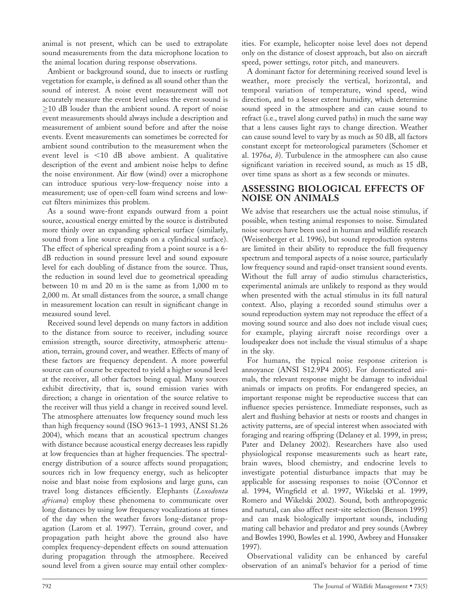animal is not present, which can be used to extrapolate sound measurements from the data microphone location to the animal location during response observations.

Ambient or background sound, due to insects or rustling vegetation for example, is defined as all sound other than the sound of interest. A noise event measurement will not accurately measure the event level unless the event sound is  $\geq$ 10 dB louder than the ambient sound. A report of noise event measurements should always include a description and measurement of ambient sound before and after the noise events. Event measurements can sometimes be corrected for ambient sound contribution to the measurement when the event level is  $<$ 10 dB above ambient. A qualitative description of the event and ambient noise helps to define the noise environment. Air flow (wind) over a microphone can introduce spurious very-low-frequency noise into a measurement; use of open-cell foam wind screens and lowcut filters minimizes this problem.

As a sound wave-front expands outward from a point source, acoustical energy emitted by the source is distributed more thinly over an expanding spherical surface (similarly, sound from a line source expands on a cylindrical surface). The effect of spherical spreading from a point source is a 6 dB reduction in sound pressure level and sound exposure level for each doubling of distance from the source. Thus, the reduction in sound level due to geometrical spreading between 10 m and 20 m is the same as from 1,000 m to 2,000 m. At small distances from the source, a small change in measurement location can result in significant change in measured sound level.

Received sound level depends on many factors in addition to the distance from source to receiver, including source emission strength, source directivity, atmospheric attenuation, terrain, ground cover, and weather. Effects of many of these factors are frequency dependent. A more powerful source can of course be expected to yield a higher sound level at the receiver, all other factors being equal. Many sources exhibit directivity, that is, sound emission varies with direction; a change in orientation of the source relative to the receiver will thus yield a change in received sound level. The atmosphere attenuates low frequency sound much less than high frequency sound (ISO 9613–1 1993, ANSI S1.26 2004), which means that an acoustical spectrum changes with distance because acoustical energy decreases less rapidly at low frequencies than at higher frequencies. The spectralenergy distribution of a source affects sound propagation; sources rich in low frequency energy, such as helicopter noise and blast noise from explosions and large guns, can travel long distances efficiently. Elephants (Loxodonta africana) employ these phenomena to communicate over long distances by using low frequency vocalizations at times of the day when the weather favors long-distance propagation (Larom et al. 1997). Terrain, ground cover, and propagation path height above the ground also have complex frequency-dependent effects on sound attenuation during propagation through the atmosphere. Received sound level from a given source may entail other complexities. For example, helicopter noise level does not depend only on the distance of closest approach, but also on aircraft speed, power settings, rotor pitch, and maneuvers.

A dominant factor for determining received sound level is weather, more precisely the vertical, horizontal, and temporal variation of temperature, wind speed, wind direction, and to a lesser extent humidity, which determine sound speed in the atmosphere and can cause sound to refract (i.e., travel along curved paths) in much the same way that a lens causes light rays to change direction. Weather can cause sound level to vary by as much as 50 dB, all factors constant except for meteorological parameters (Schomer et al. 1976a, b). Turbulence in the atmosphere can also cause significant variation in received sound, as much as 15 dB, over time spans as short as a few seconds or minutes.

# ASSESSING BIOLOGICAL EFFECTS OF NOISE ON ANIMALS

We advise that researchers use the actual noise stimulus, if possible, when testing animal responses to noise. Simulated noise sources have been used in human and wildlife research (Weisenberger et al. 1996), but sound reproduction systems are limited in their ability to reproduce the full frequency spectrum and temporal aspects of a noise source, particularly low frequency sound and rapid-onset transient sound events. Without the full array of audio stimulus characteristics, experimental animals are unlikely to respond as they would when presented with the actual stimulus in its full natural context. Also, playing a recorded sound stimulus over a sound reproduction system may not reproduce the effect of a moving sound source and also does not include visual cues; for example, playing aircraft noise recordings over a loudspeaker does not include the visual stimulus of a shape in the sky.

For humans, the typical noise response criterion is annoyance (ANSI S12.9P4 2005). For domesticated animals, the relevant response might be damage to individual animals or impacts on profits. For endangered species, an important response might be reproductive success that can influence species persistence. Immediate responses, such as alert and flushing behavior at nests or roosts and changes in activity patterns, are of special interest when associated with foraging and rearing offspring (Delaney et al. 1999, in press; Pater and Delaney 2002). Researchers have also used physiological response measurements such as heart rate, brain waves, blood chemistry, and endocrine levels to investigate potential disturbance impacts that may be applicable for assessing responses to noise (O'Connor et al. 1994, Wingfield et al. 1997, Wikelski et al. 1999, Romero and Wikelski 2002). Sound, both anthropogenic and natural, can also affect nest-site selection (Benson 1995) and can mask biologically important sounds, including mating call behavior and predator and prey sounds (Awbrey and Bowles 1990, Bowles et al. 1990, Awbrey and Hunsaker 1997).

Observational validity can be enhanced by careful observation of an animal's behavior for a period of time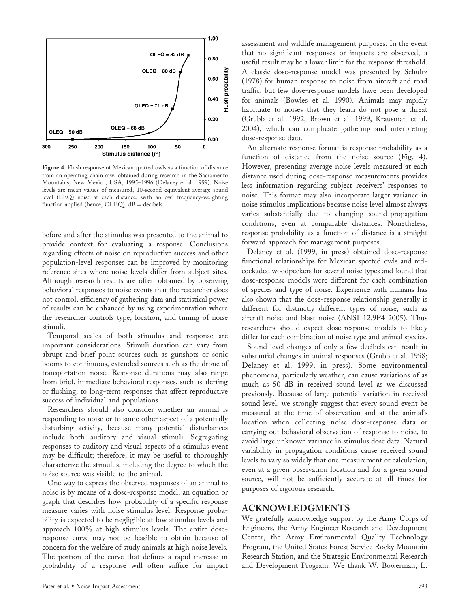

Figure 4. Flush response of Mexican spotted owls as a function of distance from an operating chain saw, obtained during research in the Sacramento Mountains, New Mexico, USA, 1995–1996 (Delaney et al. 1999). Noise levels are mean values of measured, 10-second equivalent average sound level (LEQ) noise at each distance, with an owl frequency-weighting function applied (hence, OLEQ).  $dB =$  decibels.

before and after the stimulus was presented to the animal to provide context for evaluating a response. Conclusions regarding effects of noise on reproductive success and other population-level responses can be improved by monitoring reference sites where noise levels differ from subject sites. Although research results are often obtained by observing behavioral responses to noise events that the researcher does not control, efficiency of gathering data and statistical power of results can be enhanced by using experimentation where the researcher controls type, location, and timing of noise stimuli.

Temporal scales of both stimulus and response are important considerations. Stimuli duration can vary from abrupt and brief point sources such as gunshots or sonic booms to continuous, extended sources such as the drone of transportation noise. Response durations may also range from brief, immediate behavioral responses, such as alerting or flushing, to long-term responses that affect reproductive success of individual and populations.

Researchers should also consider whether an animal is responding to noise or to some other aspect of a potentially disturbing activity, because many potential disturbances include both auditory and visual stimuli. Segregating responses to auditory and visual aspects of a stimulus event may be difficult; therefore, it may be useful to thoroughly characterize the stimulus, including the degree to which the noise source was visible to the animal.

One way to express the observed responses of an animal to noise is by means of a dose-response model, an equation or graph that describes how probability of a specific response measure varies with noise stimulus level. Response probability is expected to be negligible at low stimulus levels and approach 100% at high stimulus levels. The entire doseresponse curve may not be feasible to obtain because of concern for the welfare of study animals at high noise levels. The portion of the curve that defines a rapid increase in probability of a response will often suffice for impact

assessment and wildlife management purposes. In the event that no significant responses or impacts are observed, a useful result may be a lower limit for the response threshold. A classic dose-response model was presented by Schultz (1978) for human response to noise from aircraft and road traffic, but few dose-response models have been developed for animals (Bowles et al. 1990). Animals may rapidly habituate to noises that they learn do not pose a threat (Grubb et al. 1992, Brown et al. 1999, Krausman et al. 2004), which can complicate gathering and interpreting dose-response data.

An alternate response format is response probability as a function of distance from the noise source (Fig. 4). However, presenting average noise levels measured at each distance used during dose-response measurements provides less information regarding subject receivers' responses to noise. This format may also incorporate larger variance in noise stimulus implications because noise level almost always varies substantially due to changing sound-propagation conditions, even at comparable distances. Nonetheless, response probability as a function of distance is a straight forward approach for management purposes.

Delaney et al. (1999, in press) obtained dose-response functional relationships for Mexican spotted owls and redcockaded woodpeckers for several noise types and found that dose-response models were different for each combination of species and type of noise. Experience with humans has also shown that the dose-response relationship generally is different for distinctly different types of noise, such as aircraft noise and blast noise (ANSI 12.9P4 2005). Thus researchers should expect dose-response models to likely differ for each combination of noise type and animal species.

Sound-level changes of only a few decibels can result in substantial changes in animal responses (Grubb et al. 1998; Delaney et al. 1999, in press). Some environmental phenomena, particularly weather, can cause variations of as much as 50 dB in received sound level as we discussed previously. Because of large potential variation in received sound level, we strongly suggest that every sound event be measured at the time of observation and at the animal's location when collecting noise dose-response data or carrying out behavioral observation of response to noise, to avoid large unknown variance in stimulus dose data. Natural variability in propagation conditions cause received sound levels to vary so widely that one measurement or calculation, even at a given observation location and for a given sound source, will not be sufficiently accurate at all times for purposes of rigorous research.

# ACKNOWLEDGMENTS

We gratefully acknowledge support by the Army Corps of Engineers, the Army Engineer Research and Development Center, the Army Environmental Quality Technology Program, the United States Forest Service Rocky Mountain Research Station, and the Strategic Environmental Research and Development Program. We thank W. Bowerman, L.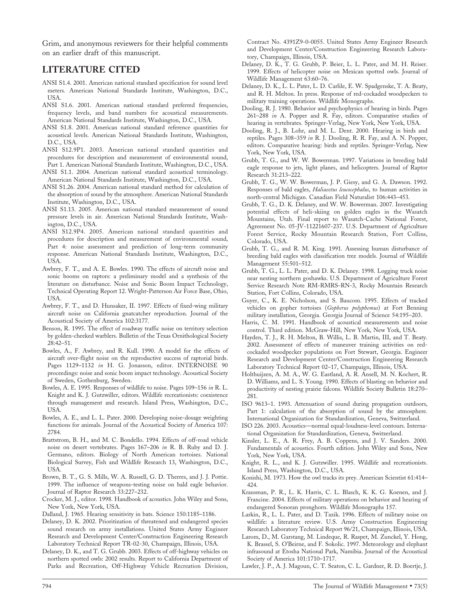Grim, and anonymous reviewers for their helpful comments on an earlier draft of this manuscript.

# LITERATURE CITED

- ANSI S1.4. 2001. American national standard specification for sound level meters. American National Standards Institute, Washington, D.C., USA.
- ANSI S1.6. 2001. American national standard preferred frequencies, frequency levels, and band numbers for acoustical measurements. American National Standards Institute, Washington, D.C., USA.
- ANSI S1.8. 2001. American national standard reference quantities for acoustical levels. American National Standards Institute, Washington, D.C., USA.
- ANSI S12.9P1. 2003. American national standard quantities and procedures for description and measurement of environmental sound, Part 1. American National Standards Institute, Washington, D.C., USA.
- ANSI S1.1. 2004. American national standard acoustical terminology. American National Standards Institute, Washington, D.C., USA.
- ANSI S1.26. 2004. American national standard method for calculation of the absorption of sound by the atmosphere. American National Standards Institute, Washington, D.C., USA.
- ANSI S1.13. 2005. American national standard measurement of sound pressure levels in air. American National Standards Institute, Washington, D.C., USA.
- ANSI S12.9P4. 2005. American national standard quantities and procedures for description and measurement of environmental sound, Part 4: noise assessment and prediction of long-term community response. American National Standards Institute, Washington, D.C., USA.
- Awbrey, F. T., and A. E. Bowles. 1990. The effects of aircraft noise and sonic booms on raptors: a preliminary model and a synthesis of the literature on disturbance. Noise and Sonic Boom Impact Technology, Technical Operating Report 12. Wright-Patterson Air Force Base, Ohio, USA.
- Awbrey, F. T., and D. Hunsaker, II. 1997. Effects of fixed-wing military aircraft noise on California gnatcatcher reproduction. Journal of the Acoustical Society of America 102:3177.
- Benson, R. 1995. The effect of roadway traffic noise on territory selection by golden-cheeked warblers. Bulletin of the Texas Ornithological Society 28:42–51.
- Bowles, A., F. Awbrey, and R. Kull. 1990. A model for the effects of aircraft over-flight noise on the reproductive success of raptorial birds. Pages 1129–1132 in H. G. Jonasson, editor. INTERNOISE 90 proceedings: noise and sonic boom impact technology. Acoustical Society of Sweden, Gothenburg, Sweden.
- Bowles, A. E. 1995. Responses of wildlife to noise. Pages 109–156 in R. L. Knight and K. J. Gutzwiller, editors. Wildlife recreationists: coexistence through management and research. Island Press, Washington, D.C., USA.
- Bowles, A. E., and L. L. Pater. 2000. Developing noise-dosage weighting functions for animals. Journal of the Acoustical Society of America 107: 2784.
- Brattstrom, B. H., and M. C. Bondello. 1994. Effects of off-road vehicle noise on desert vertebrates. Pages 167–206 in R. B. Ruby and D. J. Germano, editors. Biology of North American tortoises. National Biological Survey, Fish and Wildlife Research 13, Washington, D.C., USA.
- Brown, B. T., G. S. Mills, W. A. Russell, G. D. Therres, and J. J. Pottie. 1999. The influence of weapons-testing noise on bald eagle behavior. Journal of Raptor Research 33:227–232.
- Crocker, M. J., editor. 1998. Handbook of acoustics. John Wiley and Sons, New York, New York, USA.

Dalland, J. 1965. Hearing sensitivity in bats. Science 150:1185–1186.

- Delaney, D. K. 2002. Prioritization of threatened and endangered species sound research on army installations. United States Army Engineer Research and Development Center/Construction Engineering Research Laboratory Technical Report TR-02-30, Champaign, Illinois, USA.
- Delaney, D. K., and T. G. Grubb. 2003. Effects of off-highway vehicles on northern spotted owls: 2002 results. Report to California Department of Parks and Recreation, Off-Highway Vehicle Recreation Division,

Contract No. 4391Z9-0-0055. United States Army Engineer Research and Development Center/Construction Engineering Research Laboratory, Champaign, Illinois, USA.

- Delaney, D. K., T. G. Grubb, P. Beier, L. L. Pater, and M. H. Reiser. 1999. Effects of helicopter noise on Mexican spotted owls. Journal of Wildlife Management 63:60–76.
- Delaney, D. K., L. L. Pater, L. D. Carlile, E. W. Spadgenske, T. A. Beaty, and R. H. Melton. In press. Response of red-cockaded woodpeckers to military training operations. Wildlife Monographs.
- Dooling, R. J. 1980. Behavior and psychophysics of hearing in birds. Pages 261–288 in A. Popper and R. Fay, editors. Comparative studies of hearing in vertebrates. Springer-Verlag, New York, New York, USA.
- Dooling, R. J., B. Lohr, and M. L. Dent. 2000. Hearing in birds and reptiles. Pages 308–359 in R. J. Dooling, R. R. Fay, and A. N. Popper, editors. Comparative hearing: birds and reptiles. Springer-Verlag, New York, New York, USA.
- Grubb, T. G., and W. W. Bowerman. 1997. Variations in breeding bald eagle response to jets, light planes, and helicopters. Journal of Raptor Research 31:213–222.
- Grubb, T. G., W. W. Bowerman, J. P. Giesy, and G. A. Dawson. 1992. Responses of bald eagles, Haliaeetus leucocephalus, to human activities in north-central Michigan. Canadian Field Naturalist 106:443–453.
- Grubb, T. G., D. K. Delaney, and W. W. Bowerman. 2007. Investigating potential effects of heli-skiing on golden eagles in the Wasatch Mountains, Utah. Final report to Wasatch-Cache National Forest, Agreement No. 05-JV-11221607-237. U.S. Department of Agriculture Forest Service, Rocky Mountain Research Station, Fort Collins, Colorado, USA.
- Grubb, T. G., and R. M. King. 1991. Assessing human disturbance of breeding bald eagles with classification tree models. Journal of Wildlife Management 55:501–512.
- Grubb, T. G., L. L. Pater, and D. K. Delaney. 1998. Logging truck noise near nesting northern goshawks. U.S. Department of Agriculture Forest Service Research Note RM-RMRS-RN-3, Rocky Mountain Research Station, Fort Collins, Colorado, USA.
- Guyer, C., K. E. Nicholson, and S. Baucom. 1995. Effects of tracked vehicles on gopher tortoises (Gopherus polyphemus) at Fort Benning military installation, Georgia. Georgia Journal of Science 54:195–203.
- Harris, C. M. 1991. Handbook of acoustical measurements and noise control. Third edition. McGraw-Hill, New York, New York, USA.
- Hayden, T. J., R. H. Melton, B. Willis, L. B. Martin, III, and T. Beaty. 2002. Assessment of effects of maneuver training activities on redcockaded woodpecker populations on Fort Stewart, Georgia. Engineer Research and Development Center/Construction Engineering Research Laboratory Technical Report 02–17, Champaign, Illinois, USA.
- Holthuijzen, A. M. A., W. G. Eastland, A. R. Ansell, M. N. Kochert, R. D. Williams, and L. S. Young. 1990. Effects of blasting on behavior and productivity of nesting prairie falcons. Wildlife Society Bulletin 18:270– 281.
- ISO 9613–1. 1993. Attenuation of sound during propagation outdoors, Part 1: calculation of the absorption of sound by the atmosphere. International Organization for Standardization, Geneva, Switzerland.
- ISO 226. 2003. Acoustics—normal equal-loudness-level contours. International Organization for Standardization, Geneva, Switzerland.
- Kinsler, L. E., A. R. Frey, A. B. Coppens, and J. V. Sanders. 2000. Fundamentals of acoustics. Fourth edition. John Wiley and Sons, New York, New York, USA.
- Knight, R. L., and K. J. Gutzwiller. 1995. Wildlife and recreationists. Island Press, Washington, D.C., USA.
- Konishi, M. 1973. How the owl tracks its prey. American Scientist 61:414– 424.
- Krausman, P. R., L. K. Harris, C. L. Blasch, K. K. G. Koenen, and J. Francine. 2004. Effects of military operations on behavior and hearing of endangered Sonoran pronghorn. Wildlife Monographs 157.
- Larkin, R., L. L. Pater, and D. Tazik. 1996. Effects of military noise on wildlife: a literature review. U.S. Army Construction Engineering Research Laboratory Technical Report 96/21, Champaign, Illinois, USA.
- Larom, D., M. Garstang, M. Lindeque, R. Raspet, M. Zunckel, Y. Hong, K. Brassel, S. O'Beirne, and F. Sokolic. 1997. Meteorology and elephant infrasound at Etosha National Park, Namibia. Journal of the Acoustical Society of America 101:1710–1717.

Lawler, J. P., A. J. Magoun, C. T. Seaton, C. L. Gardner, R. D. Boertje, J.